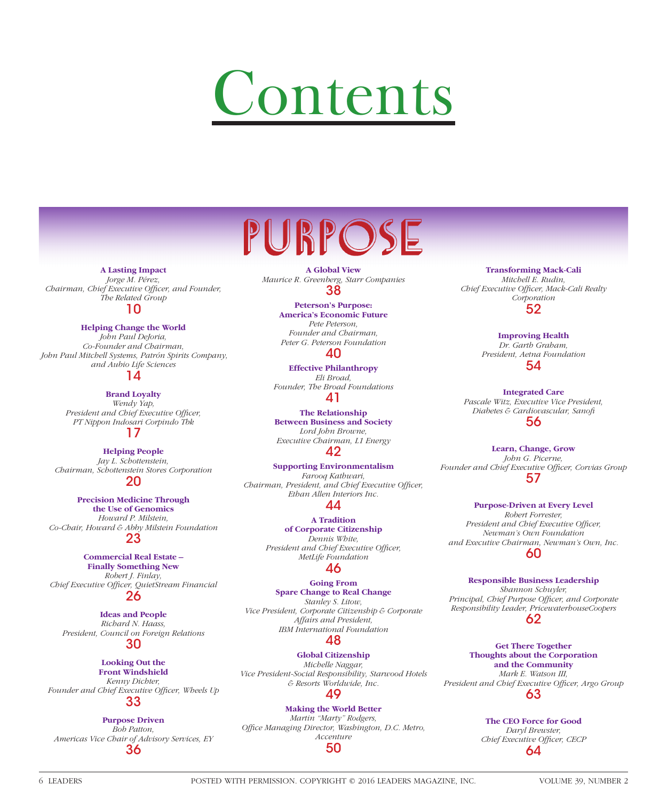# Contents

**A Lasting Impact** *Jorge M. Pérez, Chairman, Chief Executive Officer, and Founder, The Related Group*

# 10

**Helping Change the World**

*John Paul DeJoria, Co-Founder and Chairman, John Paul Mitchell Systems, Patrón Spirits Company, and Aubio Life Sciences*

## 14

**Brand Loyalty**

*Wendy Yap, President and Chief Executive Officer, PT Nippon Indosari Corpindo Tbk* 17

**Helping People** *Jay L. Schottenstein, Chairman, Schottenstein Stores Corporation* 20

**Precision Medicine Through the Use of Genomics** *Howard P. Milstein, Co-Chair, Howard & Abby Milstein Foundation* 23

**Commercial Real Estate – Finally Something New** *Robert J. Finlay,*  **Chief Executive Officer, QuietStream Financial** 26

**Ideas and People** *Richard N. Haass, President, Council on Foreign Relations*

30

**Looking Out the Front Windshield**

*Kenny Dichter,*  Founder and Chief Executive Officer, Wheels Up

# 33

**Purpose Driven** *Bob Patton, Americas Vice Chair of Advisory Services, EY* 36

PURPOSE **A Global View**

*Maurice R. Greenberg, Starr Companies* 38

> **Peterson's Purpose: America's Economic Future** *Pete Peterson, Founder and Chairman, Peter G. Peterson Foundation*

# 40

**Effective Philanthropy** *Eli Broad, Founder, The Broad Foundations* 41

**The Relationship Between Business and Society** *Lord John Browne, Executive Chairman, L1 Energy*

42

**Supporting Environmentalism** *Farooq Kathwari, Chairman, President, and Chief Executive Officer, Ethan Allen Interiors Inc.*  $\Delta\Delta$ 

> **A Tradition of Corporate Citizenship** *Dennis White,*  **President and Chief Executive Officer,** *MetLife Foundation*

### 46

**Going From Spare Change to Real Change** *Stanley S. Litow, Vice President, Corporate Citizenship & Corporate Affairs and President, IBM International Foundation* 48

**Global Citizenship** *Michelle Naggar, Vice President-Social Responsibility, Starwood Hotels & Resorts Worldwide, Inc.* 49

**Making the World Better** *Martin "Marty" Rodgers,*  Office Managing Director, Washington, D.C. Metro, *Accenture*

50

**Transforming Mack-Cali** *Mitchell E. Rudin,*  Chief Executive Officer, Mack-Cali Realty *Corporation* 52

> **Improving Health** *Dr. Garth Graham, President, Aetna Foundation* 54

**Integrated Care** *Pascale Witz, Executive Vice President, Diabetes & Cardiovascular, Sanofi*  56

**Learn, Change, Grow** *John G. Picerne,*  Founder and Chief Executive Officer, Corvias Group 57

**Purpose-Driven at Every Level**

*Robert Forrester, President and Chief Executive Officer, Newman's Own Foundation and Executive Chairman, Newman's Own, Inc.* 60

**Responsible Business Leadership** *Shannon Schuyler,*  Principal, Chief Purpose Officer, and Corporate *Responsibility Leader, PricewaterhouseCoopers*  62

**Get There Together Thoughts about the Corporation and the Community** *Mark E. Watson III,*  President and Chief Executive Officer, Argo Group 63

> **The CEO Force for Good** *Daryl Brewster,*  **Chief Executive Officer, CECP** 64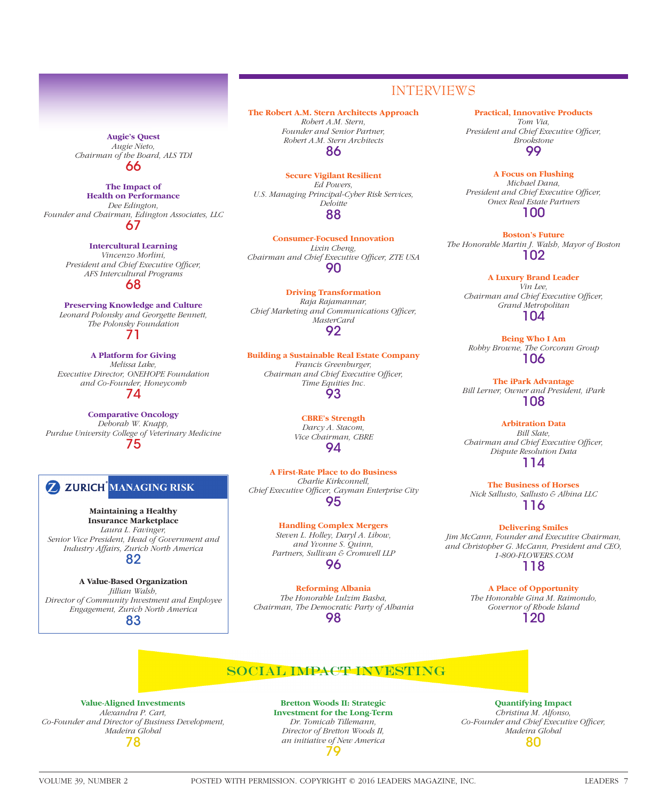#### **Augie's Quest** *Augie Nieto, Chairman of the Board, ALS TDI* 66

**The Impact of Health on Performance** *Dee Edington, Founder and Chairman, Edington Associates, LLC* 67

#### **Intercultural Learning**

*Vincenzo Morlini, President and Chief Executive Officer, AFS Intercultural Programs* 68

**Preserving Knowledge and Culture** *Leonard Polonsky and Georgette Bennett, The Polonsky Foundation*

71

**A Platform for Giving** *Melissa Lake, Executive Director, ONEHOPE Foundation and Co-Founder, Honeycomb* 74

**Comparative Oncology** *Deborah W. Knapp, Purdue University College of Veterinary Medicine* 75

# **Z ZURICH MANAGING RISK**

**Maintaining a Healthy Insurance Marketplace** *Laura L. Favinger, Senior Vice President, Head of Government and Industry Affairs, Zurich North America* 82

**A Value-Based Organization** *Jillian Walsh, Director of Community Investment and Employee Engagement, Zurich North America* 83

**The Robert A.M. Stern Architects Approach** *Robert A.M. Stern, Founder and Senior Partner, Robert A.M. Stern Architects* 86

**Secure Vigilant Resilient** *Ed Powers, U.S. Managing Principal-Cyber Risk Services, Deloitte* 88

**Consumer-Focused Innovation** *Lixin Cheng,*  Chairman and Chief Executive Officer, ZTE USA 90

**Driving Transformation** *Raja Rajamannar, Chief Marketing and Communications Officer, MasterCard* 92

**Building a Sustainable Real Estate Company** *Francis Greenburger, Chairman and Chief Executive Officer,* 

> *Time Equities Inc.* 93

**CBRE's Strength** *Darcy A. Stacom, Vice Chairman, CBRE* 94

**A First-Rate Place to do Business** *Charlie Kirkconnell,*  Chief Executive Officer, Cayman Enterprise City 95

> **Handling Complex Mergers** *Steven L. Holley, Daryl A. Libow, and Yvonne S. Quinn, Partners, Sullivan & Cromwell LLP* 96

**Reforming Albania** *The Honorable Lulzim Basha, Chairman, The Democratic Party of Albania* 98

**Practical, Innovative Products**

INTERVIEWS

*Tom Via, President and Chief Executive Officer, Brookstone* 99

**A Focus on Flushing**  *Michael Dana, President and Chief Executive Officer, Onex Real Estate Partners* 100

**Boston's Future** *The Honorable Martin J. Walsh, Mayor of Boston* 102

**A Luxury Brand Leader** *Vin Lee, Chairman and Chief Executive Officer, Grand Metropolitan* 104

**Being Who I Am** *Robby Browne, The Corcoran Group* 106

**The iPark Advantage** *Bill Lerner, Owner and President, iPark* 108

**Arbitration Data** *Bill Slate, Chairman and Chief Executive Officer, Dispute Resolution Data* 114

**The Business of Horses** *Nick Sallusto, Sallusto & Albina LLC* 116

**Delivering Smiles** *Jim McCann, Founder and Executive Chairman, and Christopher G. McCann, President and CEO, 1-800-FLOWERS.COM* 118

> **A Place of Opportunity** *The Honorable Gina M. Raimondo, Governor of Rhode Island* 120

# **SOCIAL IMPACT INVESTING**

**Value-Aligned Investments** *Alexandra P. Cart, Co-Founder and Director of Business Development, Madeira Global* 78

**Bretton Woods II: Strategic Investment for the Long-Term** *Dr. Tomicah Tillemann, Director of Bretton Woods II, an initiative of New America* 79

**Quantifying Impact**

*Christina M. Alfonso,*  Co-Founder and Chief Executive Officer, *Madeira Global* 80